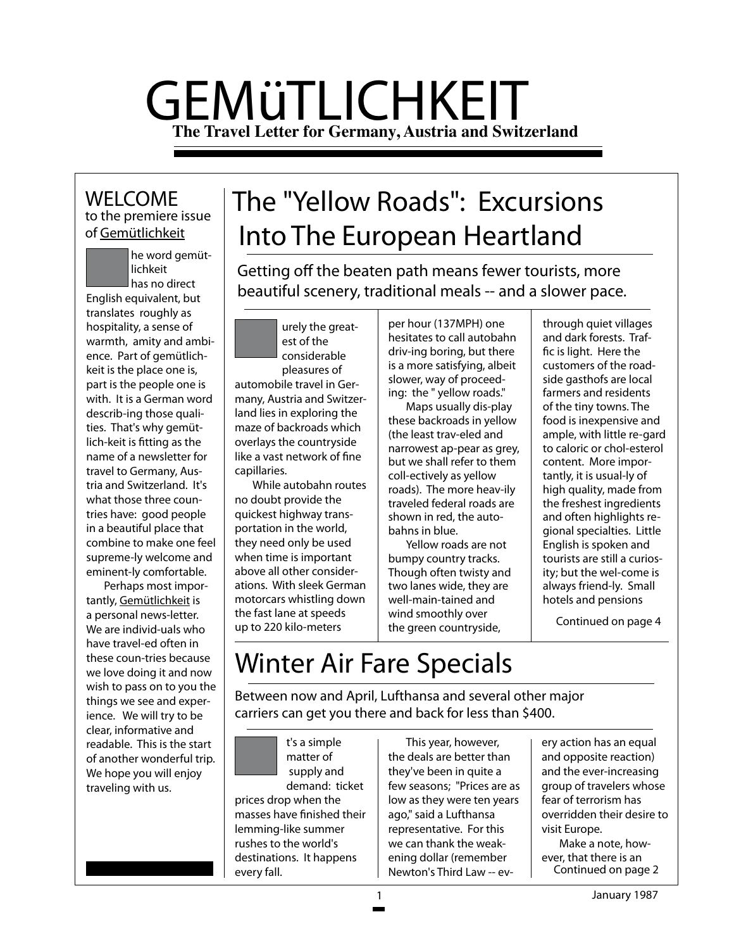# GEMüTLICHKEIT **The Travel Letter for Germany, Austria and Switzerland**

### to the premiere issue of Gemütlichkeit WELCOME

he word gemüt<mark>-</mark><br>lichkeit<br>has no direct lichkeit

has no direct English equivalent, but translates roughly as hospitality, a sense of warmth, amity and ambience. Part of gemütlichkeit is the place one is, part is the people one is with. It is a German word describ-ing those qualities. That's why gemütlich-keit is fitting as the name of a newsletter for travel to Germany, Austria and Switzerland. It's what those three countries have: good people in a beautiful place that combine to make one feel supreme-ly welcome and eminent-ly comfortable.

Perhaps most importantly, Gemütlichkeit is a personal news-letter. We are individ-uals who have travel-ed often in these coun-tries because we love doing it and now wish to pass on to you the things we see and experience. We will try to be clear, informative and readable. This is the start of another wonderful trip. We hope you will enjoy traveling with us.

# The "Yellow Roads": Excursions Into The European Heartland

Getting off the beaten path means fewer tourists, more beautiful scenery, traditional meals -- and a slower pace.

urely the great-<br>est of the<br>considerable est of the considerable pleasures of automobile travel in Ger-

many, Austria and Switzerland lies in exploring the maze of backroads which overlays the countryside like a vast network of fine capillaries.

While autobahn routes no doubt provide the quickest highway transportation in the world, they need only be used when time is important above all other considerations. With sleek German motorcars whistling down the fast lane at speeds up to 220 kilo-meters

per hour (137MPH) one hesitates to call autobahn driv-ing boring, but there is a more satisfying, albeit slower, way of proceeding: the " yellow roads."

Maps usually dis-play these backroads in yellow (the least trav-eled and narrowest ap-pear as grey, but we shall refer to them coll-ectively as yellow roads). The more heav-ily traveled federal roads are shown in red, the autobahns in blue.

Yellow roads are not bumpy country tracks. Though often twisty and two lanes wide, they are well-main-tained and wind smoothly over the green countryside,

through quiet villages and dark forests. Traffic is light. Here the customers of the roadside gasthofs are local farmers and residents of the tiny towns. The food is inexpensive and ample, with little re-gard to caloric or chol-esterol content. More importantly, it is usual-ly of high quality, made from the freshest ingredients and often highlights regional specialties. Little English is spoken and tourists are still a curiosity; but the wel-come is always friend-ly. Small hotels and pensions

Continued on page 4

## Winter Air Fare Specials

Between now and April, Lufthansa and several other major carriers can get you there and back for less than \$400.

t's a simple matter of supply and demand: ticket prices drop when the masses have finished their lemming-like summer rushes to the world's destinations. It happens every fall.

This year, however, the deals are better than they've been in quite a few seasons; "Prices are as low as they were ten years ago," said a Lufthansa representative. For this we can thank the weakening dollar (remember Newton's Third Law -- ev-

ery action has an equal and opposite reaction) and the ever-increasing group of travelers whose fear of terrorism has overridden their desire to visit Europe.

Continued on page 2 Make a note, however, that there is an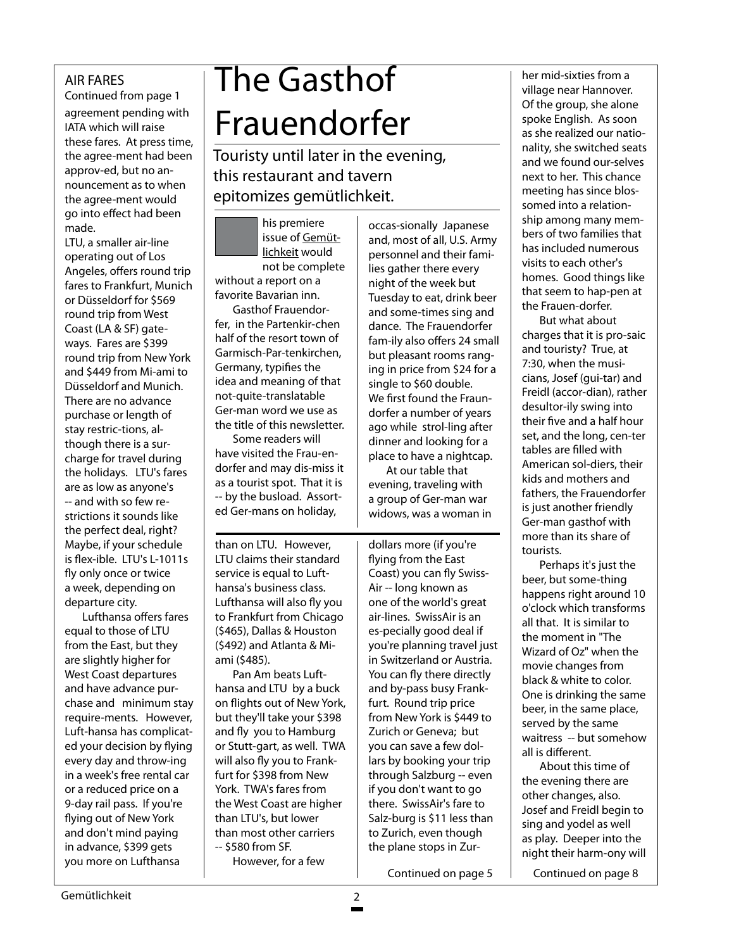### AIR FARES

agreement pending with IATA which will raise these fares. At press time, the agree-ment had been approv-ed, but no announcement as to when the agree-ment would go into effect had been made. Continued from page 1

LTU, a smaller air-line operating out of Los Angeles, offers round trip fares to Frankfurt, Munich or Düsseldorf for \$569 round trip from West Coast (LA & SF) gateways. Fares are \$399 round trip from New York and \$449 from Mi-ami to Düsseldorf and Munich. There are no advance purchase or length of stay restric-tions, although there is a surcharge for travel during the holidays. LTU's fares are as low as anyone's -- and with so few restrictions it sounds like the perfect deal, right? Maybe, if your schedule is flex-ible. LTU's L-1011s fly only once or twice a week, depending on departure city.

Lufthansa offers fares equal to those of LTU from the East, but they are slightly higher for West Coast departures and have advance purchase and minimum stay require-ments. However, Luft-hansa has complicated your decision by flying every day and throw-ing in a week's free rental car or a reduced price on a 9-day rail pass. If you're flying out of New York and don't mind paying in advance, \$399 gets you more on Lufthansa

# The Gasthof Frauendorfer

Touristy until later in the evening, this restaurant and tavern epitomizes gemütlichkeit.

his premiere issue of Gemütlichkeit would not be complete without a report on a

favorite Bavarian inn. Gasthof Frauendorfer, in the Partenkir-chen

half of the resort town of Garmisch-Par-tenkirchen, Germany, typifies the idea and meaning of that not-quite-translatable Ger-man word we use as the title of this newsletter.

Some readers will have visited the Frau-endorfer and may dis-miss it as a tourist spot. That it is -- by the busload. Assorted Ger-mans on holiday,

than on LTU. However, LTU claims their standard service is equal to Lufthansa's business class. Lufthansa will also fly you to Frankfurt from Chicago (\$465), Dallas & Houston (\$492) and Atlanta & Miami (\$485).

Pan Am beats Lufthansa and LTU by a buck on flights out of New York, but they'll take your \$398 and fly you to Hamburg or Stutt-gart, as well. TWA will also fly you to Frankfurt for \$398 from New York. TWA's fares from the West Coast are higher than LTU's, but lower than most other carriers -- \$580 from SF.

However, for a few

and, most of all, U.S. Army personnel and their families gather there every night of the week but Tuesday to eat, drink beer and some-times sing and dance. The Frauendorfer fam-ily also offers 24 small but pleasant rooms ranging in price from \$24 for a single to \$60 double. We first found the Fraundorfer a number of years ago while strol-ling after dinner and looking for a place to have a nightcap.

occas-sionally Japanese

At our table that evening, traveling with a group of Ger-man war widows, was a woman in

dollars more (if you're flying from the East Coast) you can fly Swiss-Air -- long known as one of the world's great air-lines. SwissAir is an es-pecially good deal if you're planning travel just in Switzerland or Austria. You can fly there directly and by-pass busy Frankfurt. Round trip price from New York is \$449 to Zurich or Geneva; but you can save a few dollars by booking your trip through Salzburg -- even if you don't want to go there. SwissAir's fare to Salz-burg is \$11 less than to Zurich, even though the plane stops in Zur-

Continued on page 5 Continued on page 8

her mid-sixties from a village near Hannover. Of the group, she alone spoke English. As soon as she realized our nationality, she switched seats and we found our-selves next to her. This chance meeting has since blossomed into a relationship among many members of two families that has included numerous visits to each other's homes. Good things like that seem to hap-pen at the Frauen-dorfer.

But what about charges that it is pro-saic and touristy? True, at 7:30, when the musicians, Josef (gui-tar) and Freidl (accor-dian), rather desultor-ily swing into their five and a half hour set, and the long, cen-ter tables are filled with American sol-diers, their kids and mothers and fathers, the Frauendorfer is just another friendly Ger-man gasthof with more than its share of tourists.

Perhaps it's just the beer, but some-thing happens right around 10 o'clock which transforms all that. It is similar to the moment in "The Wizard of Oz" when the movie changes from black & white to color. One is drinking the same beer, in the same place, served by the same waitress -- but somehow all is different.

About this time of the evening there are other changes, also. Josef and Freidl begin to sing and yodel as well as play. Deeper into the night their harm-ony will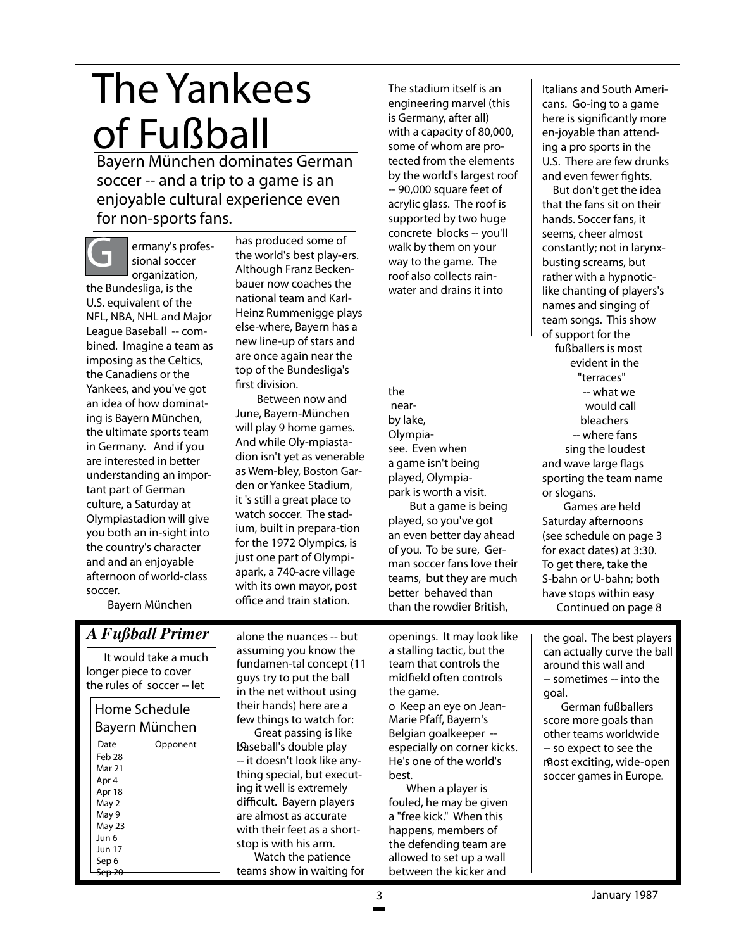# The Yankees of Fußball

Bayern München dominates German soccer -- and a trip to a game is an enjoyable cultural experience even for non-sports fans.

ermany's professional soccer organization, the Bundesliga, is the U.S. equivalent of the NFL, NBA, NHL and Major League Baseball -- combined. Imagine a team as imposing as the Celtics,

the Canadiens or the Yankees, and you've got an idea of how dominating is Bayern München, the ultimate sports team in Germany. And if you are interested in better understanding an important part of German culture, a Saturday at Olympiastadion will give you both an in-sight into the country's character and and an enjoyable afternoon of world-class soccer.

has produced some of the world's best play-ers. Although Franz Beckenbauer now coaches the national team and Karl-Heinz Rummenigge plays else-where, Bayern has a new line-up of stars and are once again near the top of the Bundesliga's first division.

Between now and June, Bayern-München will play 9 home games. And while Oly-mpiastadion isn't yet as venerable as Wem-bley, Boston Garden or Yankee Stadium, it 's still a great place to watch soccer. The stadium, built in prepara-tion for the 1972 Olympics, is just one part of Olympiapark, a 740-acre village with its own mayor, post office and train station.

The stadium itself is an engineering marvel (this is Germany, after all) with a capacity of 80,000, some of whom are protected from the elements by the world's largest roof -- 90,000 square feet of acrylic glass. The roof is supported by two huge concrete blocks -- you'll walk by them on your way to the game. The roof also collects rainwater and drains it into

the nearby lake, Olympiasee. Even when a game isn't being played, Olympiapark is worth a visit.

But a game is being played, so you've got an even better day ahead of you. To be sure, German soccer fans love their teams, but they are much better behaved than than the rowdier British,

Italians and South Americans. Go-ing to a game here is significantly more en-joyable than attending a pro sports in the U.S. There are few drunks and even fewer fights.

But don't get the idea that the fans sit on their hands. Soccer fans, it seems, cheer almost constantly; not in larynxbusting screams, but rather with a hypnoticlike chanting of players's names and singing of team songs. This show of support for the fußballers is most evident in the "terraces" -- what we would call bleachers -- where fans sing the loudest and wave large flags sporting the team name or slogans. Games are held

Continued on page 8 Saturday afternoons (see schedule on page 3 for exact dates) at 3:30. To get there, take the S-bahn or U-bahn; both have stops within easy

Bayern München

### *A Fußball Primer*

It would take a much longer piece to cover the rules of soccer -- let

#### Home Schedule Bayern München

| Date          | Opponent |
|---------------|----------|
| Feb 28        |          |
| <b>Mar 21</b> |          |
| Apr 4         |          |
| Apr 18        |          |
| May 2         |          |
| May 9         |          |
| May 23        |          |
| Jun 6         |          |
| <b>Jun 17</b> |          |
| Sep 6         |          |
|               |          |

alone the nuances -- but assuming you know the fundamen-tal concept (11 guys try to put the ball in the net without using their hands) here are a few things to watch for:

Great passing is like baseball's double play -- it doesn't look like anything special, but executing it well is extremely difficult. Bayern players are almost as accurate with their feet as a shortstop is with his arm.

Watch the patience teams show in waiting for openings. It may look like a stalling tactic, but the team that controls the midfield often controls the game.

o Keep an eye on Jean-Marie Pfaff, Bayern's Belgian goalkeeper - especially on corner kicks. He's one of the world's best.

When a player is fouled, he may be given a "free kick." When this happens, members of the defending team are allowed to set up a wall between the kicker and

the goal. The best players can actually curve the ball around this wall and -- sometimes -- into the goal.

German fußballers score more goals than other teams worldwide -- so expect to see the most exciting, wide-open soccer games in Europe.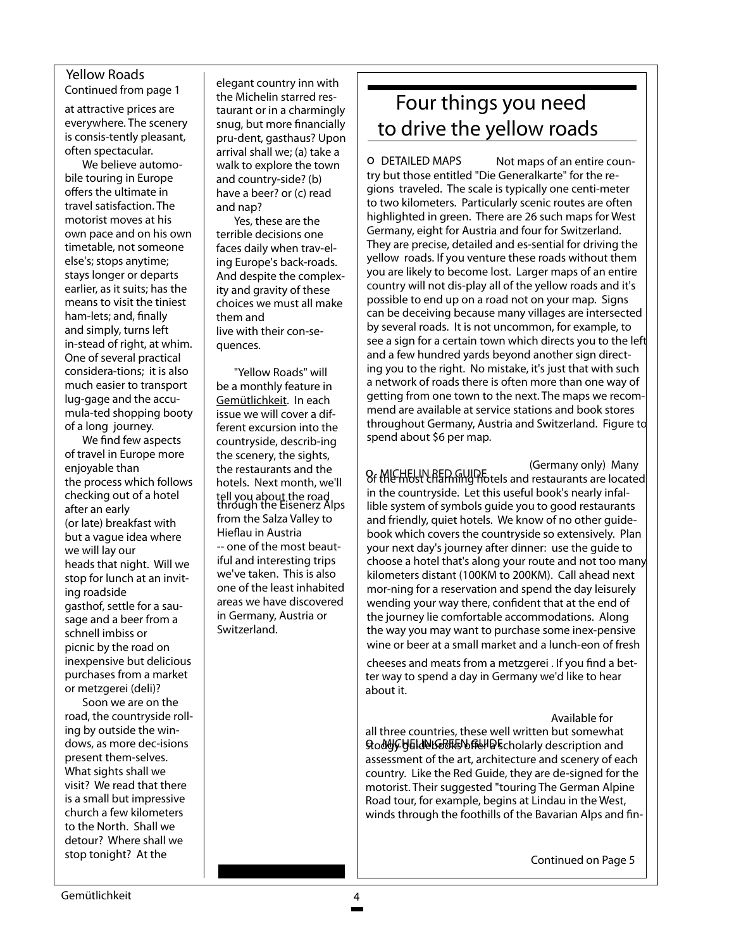#### Yellow Roads

Continued from page 1

at attractive prices are everywhere. The scenery is consis-tently pleasant, often spectacular.

We believe automobile touring in Europe offers the ultimate in travel satisfaction. The motorist moves at his own pace and on his own timetable, not someone else's; stops anytime; stays longer or departs earlier, as it suits; has the means to visit the tiniest ham-lets; and, finally and simply, turns left in-stead of right, at whim. One of several practical considera-tions; it is also much easier to transport lug-gage and the accumula-ted shopping booty of a long journey.

We find few aspects of travel in Europe more enjoyable than the process which follows checking out of a hotel after an early (or late) breakfast with but a vague idea where we will lay our heads that night. Will we stop for lunch at an inviting roadside gasthof, settle for a sausage and a beer from a schnell imbiss or picnic by the road on inexpensive but delicious purchases from a market or metzgerei (deli)?

Soon we are on the road, the countryside rolling by outside the windows, as more dec-isions present them-selves. What sights shall we visit? We read that there is a small but impressive church a few kilometers to the North. Shall we detour? Where shall we stop tonight? At the

elegant country inn with the Michelin starred restaurant or in a charmingly snug, but more financially pru-dent, gasthaus? Upon arrival shall we; (a) take a walk to explore the town and country-side? (b) have a beer? or (c) read and nap?

Yes, these are the terrible decisions one faces daily when trav-eling Europe's back-roads. And despite the complexity and gravity of these choices we must all make them and live with their con-sequences.

"Yellow Roads" will be a monthly feature in Gemütlichkeit. In each issue we will cover a different excursion into the countryside, describ-ing the scenery, the sights, the restaurants and the hotels. Next month, we'll tell you about the road<br>through the Eisenerz Alps from the Salza Valley to Hieflau in Austria -- one of the most beautiful and interesting trips we've taken. This is also one of the least inhabited areas we have discovered in Germany, Austria or Switzerland.

## Four things you need to drive the yellow roads

 Not maps of an entire country but those entitled "Die Generalkarte" for the regions traveled. The scale is typically one centi-meter to two kilometers. Particularly scenic routes are often highlighted in green. There are 26 such maps for West Germany, eight for Austria and four for Switzerland. They are precise, detailed and es-sential for driving the yellow roads. If you venture these roads without them you are likely to become lost. Larger maps of an entire country will not dis-play all of the yellow roads and it's possible to end up on a road not on your map. Signs can be deceiving because many villages are intersected by several roads. It is not uncommon, for example, to see a sign for a certain town which directs you to the left and a few hundred yards beyond another sign directing you to the right. No mistake, it's just that with such a network of roads there is often more than one way of getting from one town to the next. The maps we recommend are available at service stations and book stores throughout Germany, Austria and Switzerland. Figure to spend about \$6 per map. o DETAILED MAPS

o Commany only, many of the most contract of the MEHELIN REP model is and restaurants are located (Germany only) Many in the countryside. Let this useful book's nearly infallible system of symbols guide you to good restaurants and friendly, quiet hotels. We know of no other guidebook which covers the countryside so extensively. Plan your next day's journey after dinner: use the guide to choose a hotel that's along your route and not too many kilometers distant (100KM to 200KM). Call ahead next mor-ning for a reservation and spend the day leisurely wending your way there, confident that at the end of the journey lie comfortable accommodations. Along the way you may want to purchase some inex-pensive wine or beer at a small market and a lunch-eon of fresh

cheeses and meats from a metzgerei . If you find a better way to spend a day in Germany we'd like to hear about it.

#### Available for

all three countries, these well written but somewhat m and Challen Control of the section of the set of the set of the set of the set of the set of the set of the s assessment of the art, architecture and scenery of each country. Like the Red Guide, they are de-signed for the motorist. Their suggested "touring The German Alpine Road tour, for example, begins at Lindau in the West, winds through the foothills of the Bavarian Alps and fin-

Continued on Page 5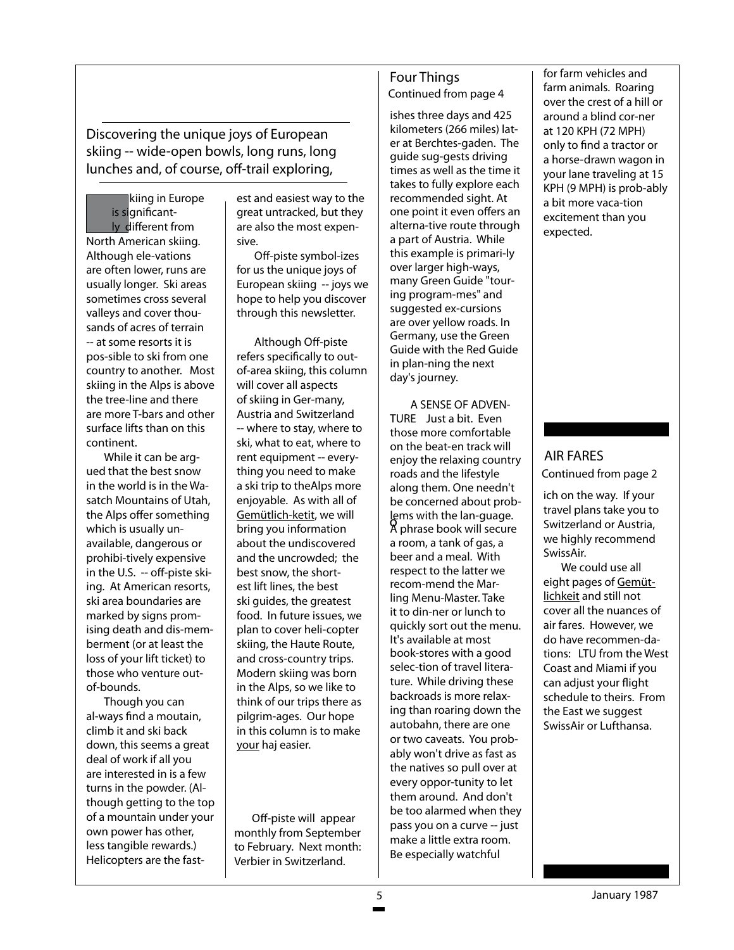Discovering the unique joys of European skiing -- wide-open bowls, long runs, long lunches and, of course, off-trail exploring,

 kiing in Europe is significant ly different from North American skiing. Although ele-vations are often lower, runs are usually longer. Ski areas sometimes cross several valleys and cover thousands of acres of terrain -- at some resorts it is pos-sible to ski from one country to another. Most skiing in the Alps is above the tree-line and there are more T-bars and other surface lifts than on this continent.

While it can be argued that the best snow in the world is in the Wasatch Mountains of Utah, the Alps offer something which is usually unavailable, dangerous or prohibi-tively expensive in the U.S. -- off-piste skiing. At American resorts, ski area boundaries are marked by signs promising death and dis-memberment (or at least the loss of your lift ticket) to those who venture outof-bounds.

Though you can al-ways find a moutain, climb it and ski back down, this seems a great deal of work if all you are interested in is a few turns in the powder. (Although getting to the top of a mountain under your own power has other, less tangible rewards.) Helicopters are the fast-

est and easiest way to the great untracked, but they are also the most expensive.

Off-piste symbol-izes for us the unique joys of European skiing -- joys we hope to help you discover through this newsletter.

Although Off-piste refers specifically to outof-area skiing, this column will cover all aspects of skiing in Ger-many, Austria and Switzerland -- where to stay, where to ski, what to eat, where to rent equipment -- everything you need to make a ski trip to theAlps more enjoyable. As with all of Gemütlich-ketit, we will bring you information about the undiscovered and the uncrowded; the best snow, the shortest lift lines, the best ski guides, the greatest food. In future issues, we plan to cover heli-copter skiing, the Haute Route, and cross-country trips. Modern skiing was born in the Alps, so we like to think of our trips there as pilgrim-ages. Our hope in this column is to make your haj easier.

Off-piste will appear monthly from September to February. Next month: Verbier in Switzerland.

#### Four Things Continued from page 4

ishes three days and 425 kilometers (266 miles) later at Berchtes-gaden. The guide sug-gests driving times as well as the time it takes to fully explore each recommended sight. At one point it even offers an alterna-tive route through a part of Austria. While this example is primari-ly over larger high-ways, many Green Guide "touring program-mes" and suggested ex-cursions are over yellow roads. In Germany, use the Green Guide with the Red Guide in plan-ning the next day's journey.

 A SENSE OF ADVEN-TURE Just a bit. Even those more comfortable on the beat-en track will enjoy the relaxing country roads and the lifestyle along them. One needn't be concerned about problems with the lan-guage. lems with the lan-guage.<br>A phrase book will secure a room, a tank of gas, a beer and a meal. With respect to the latter we recom-mend the Marling Menu-Master. Take it to din-ner or lunch to quickly sort out the menu. It's available at most book-stores with a good selec-tion of travel literature. While driving these backroads is more relaxing than roaring down the autobahn, there are one or two caveats. You probably won't drive as fast as the natives so pull over at every oppor-tunity to let them around. And don't be too alarmed when they pass you on a curve -- just make a little extra room. Be especially watchful

for farm vehicles and farm animals. Roaring over the crest of a hill or around a blind cor-ner at 120 KPH (72 MPH) only to find a tractor or a horse-drawn wagon in your lane traveling at 15 KPH (9 MPH) is prob-ably a bit more vaca-tion excitement than you expected.

#### AIR FARES Continued from page 2

ich on the way. If your travel plans take you to Switzerland or Austria, we highly recommend SwissAir.

We could use all eight pages of Gemütlichkeit and still not cover all the nuances of air fares. However, we do have recommen-dations: LTU from the West Coast and Miami if you can adjust your flight schedule to theirs. From the East we suggest SwissAir or Lufthansa.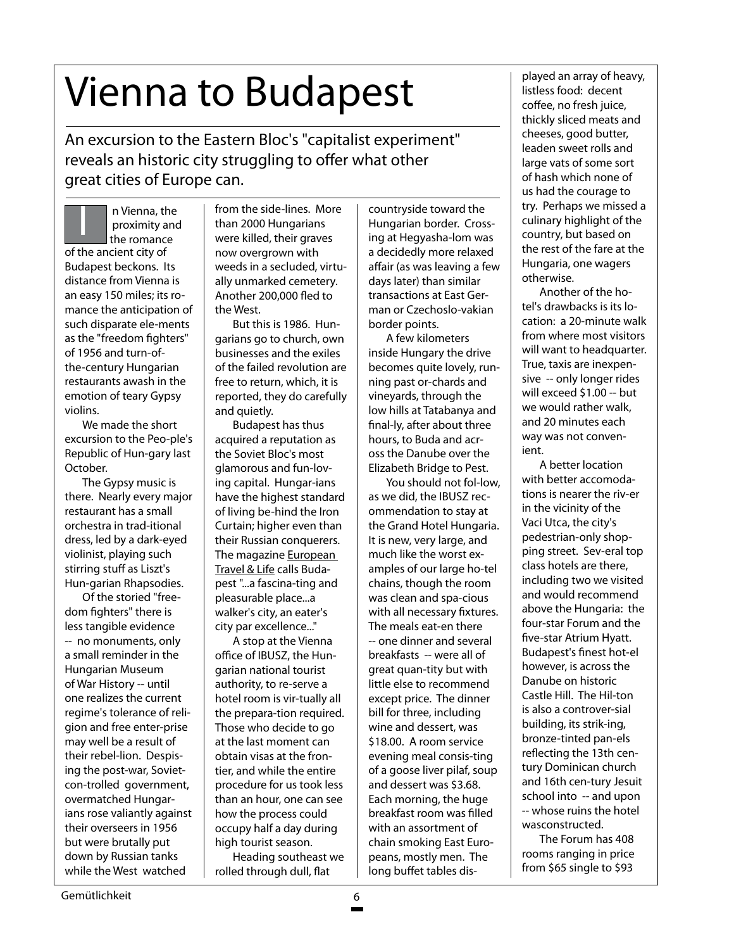# Vienna to Budapest

An excursion to the Eastern Bloc's "capitalist experiment" reveals an historic city struggling to offer what other great cities of Europe can.

I n Vienna, the proximity and the romance of the ancient city of Budapest beckons. Its distance from Vienna is an easy 150 miles; its romance the anticipation of such disparate ele-ments as the "freedom fighters" of 1956 and turn-ofthe-century Hungarian restaurants awash in the emotion of teary Gypsy violins.

We made the short excursion to the Peo-ple's Republic of Hun-gary last October.

The Gypsy music is there. Nearly every major restaurant has a small orchestra in trad-itional dress, led by a dark-eyed violinist, playing such stirring stuff as Liszt's Hun-garian Rhapsodies.

Of the storied "freedom fighters" there is less tangible evidence -- no monuments, only a small reminder in the Hungarian Museum of War History -- until one realizes the current regime's tolerance of religion and free enter-prise may well be a result of their rebel-lion. Despising the post-war, Sovietcon-trolled government, overmatched Hungarians rose valiantly against their overseers in 1956 but were brutally put down by Russian tanks while the West watched

from the side-lines. More than 2000 Hungarians were killed, their graves now overgrown with weeds in a secluded, virtually unmarked cemetery. Another 200,000 fled to the West.

But this is 1986. Hungarians go to church, own businesses and the exiles of the failed revolution are free to return, which, it is reported, they do carefully and quietly.

Budapest has thus acquired a reputation as the Soviet Bloc's most glamorous and fun-loving capital. Hungar-ians have the highest standard of living be-hind the Iron Curtain; higher even than their Russian conquerers. The magazine **European** Travel & Life calls Budapest "...a fascina-ting and pleasurable place...a walker's city, an eater's city par excellence..."

A stop at the Vienna office of IBUSZ, the Hungarian national tourist authority, to re-serve a hotel room is vir-tually all the prepara-tion required. Those who decide to go at the last moment can obtain visas at the frontier, and while the entire procedure for us took less than an hour, one can see how the process could occupy half a day during high tourist season.

Heading southeast we rolled through dull, flat

countryside toward the Hungarian border. Crossing at Hegyasha-lom was a decidedly more relaxed affair (as was leaving a few days later) than similar transactions at East German or Czechoslo-vakian border points.

A few kilometers inside Hungary the drive becomes quite lovely, running past or-chards and vineyards, through the low hills at Tatabanya and final-ly, after about three hours, to Buda and across the Danube over the Elizabeth Bridge to Pest.

You should not fol-low, as we did, the IBUSZ recommendation to stay at the Grand Hotel Hungaria. It is new, very large, and much like the worst examples of our large ho-tel chains, though the room was clean and spa-cious with all necessary fixtures. The meals eat-en there -- one dinner and several breakfasts -- were all of great quan-tity but with little else to recommend except price. The dinner bill for three, including wine and dessert, was \$18.00. A room service evening meal consis-ting of a goose liver pilaf, soup and dessert was \$3.68. Each morning, the huge breakfast room was filled with an assortment of chain smoking East Europeans, mostly men. The long buffet tables dis-

played an array of heavy, listless food: decent coffee, no fresh juice, thickly sliced meats and cheeses, good butter, leaden sweet rolls and large vats of some sort of hash which none of us had the courage to try. Perhaps we missed a culinary highlight of the country, but based on the rest of the fare at the Hungaria, one wagers otherwise.

Another of the hotel's drawbacks is its location: a 20-minute walk from where most visitors will want to headquarter. True, taxis are inexpensive -- only longer rides will exceed \$1.00 -- but we would rather walk, and 20 minutes each way was not convenient.

A better location with better accomodations is nearer the riv-er in the vicinity of the Vaci Utca, the city's pedestrian-only shopping street. Sev-eral top class hotels are there, including two we visited and would recommend above the Hungaria: the four-star Forum and the five-star Atrium Hyatt. Budapest's finest hot-el however, is across the Danube on historic Castle Hill. The Hil-ton is also a controver-sial building, its strik-ing, bronze-tinted pan-els reflecting the 13th century Dominican church and 16th cen-tury Jesuit school into -- and upon -- whose ruins the hotel wasconstructed.

The Forum has 408 rooms ranging in price from \$65 single to \$93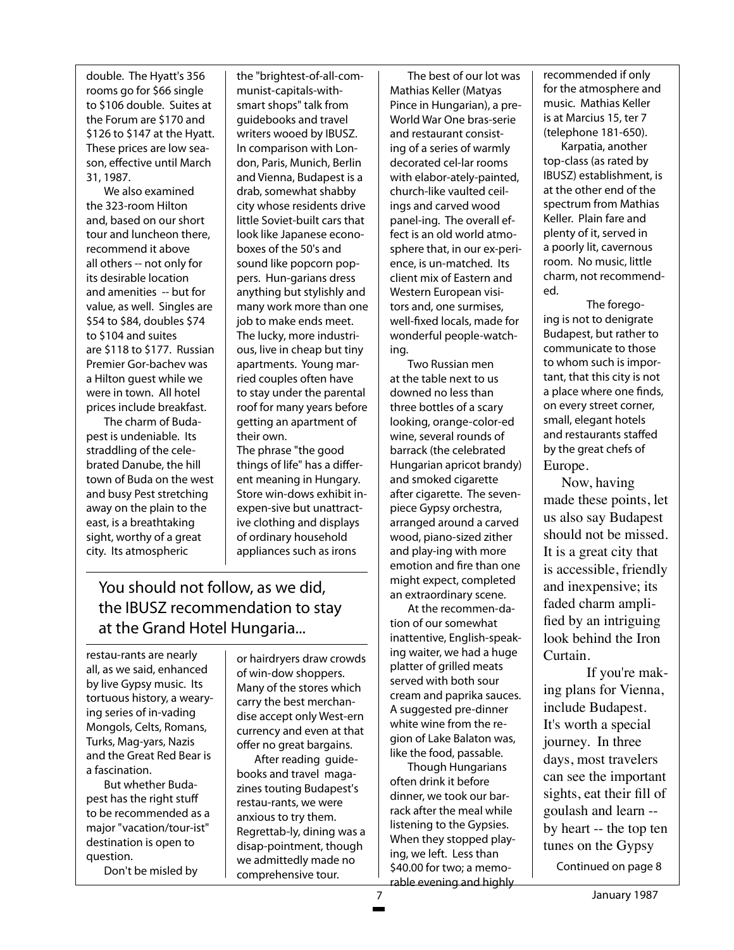double. The Hyatt's 356 rooms go for \$66 single to \$106 double. Suites at the Forum are \$170 and \$126 to \$147 at the Hyatt. These prices are low season, effective until March 31, 1987.

We also examined the 323-room Hilton and, based on our short tour and luncheon there, recommend it above all others -- not only for its desirable location and amenities -- but for value, as well. Singles are \$54 to \$84, doubles \$74 to \$104 and suites are \$118 to \$177. Russian Premier Gor-bachev was a Hilton guest while we were in town. All hotel prices include breakfast.

The charm of Budapest is undeniable. Its straddling of the celebrated Danube, the hill town of Buda on the west and busy Pest stretching away on the plain to the east, is a breathtaking sight, worthy of a great city. Its atmospheric

the "brightest-of-all-communist-capitals-withsmart shops" talk from guidebooks and travel writers wooed by IBUSZ. In comparison with London, Paris, Munich, Berlin and Vienna, Budapest is a drab, somewhat shabby city whose residents drive little Soviet-built cars that look like Japanese econoboxes of the 50's and sound like popcorn poppers. Hun-garians dress anything but stylishly and many work more than one job to make ends meet. The lucky, more industrious, live in cheap but tiny apartments. Young married couples often have to stay under the parental roof for many years before getting an apartment of their own. The phrase "the good

things of life" has a different meaning in Hungary. Store win-dows exhibit inexpen-sive but unattractive clothing and displays of ordinary household appliances such as irons

## You should not follow, as we did, the IBUSZ recommendation to stay at the Grand Hotel Hungaria...

restau-rants are nearly all, as we said, enhanced by live Gypsy music. Its tortuous history, a wearying series of in-vading Mongols, Celts, Romans, Turks, Mag-yars, Nazis and the Great Red Bear is a fascination.

But whether Budapest has the right stuff to be recommended as a major "vacation/tour-ist" destination is open to question.

Don't be misled by

or hairdryers draw crowds of win-dow shoppers. Many of the stores which carry the best merchandise accept only West-ern currency and even at that offer no great bargains.

After reading guidebooks and travel magazines touting Budapest's restau-rants, we were anxious to try them. Regrettab-ly, dining was a disap-pointment, though we admittedly made no comprehensive tour.

The best of our lot was Mathias Keller (Matyas Pince in Hungarian), a pre-World War One bras-serie and restaurant consisting of a series of warmly decorated cel-lar rooms with elabor-ately-painted, church-like vaulted ceilings and carved wood panel-ing. The overall effect is an old world atmosphere that, in our ex-perience, is un-matched. Its client mix of Eastern and Western European visitors and, one surmises, well-fixed locals, made for wonderful people-watching.

Two Russian men at the table next to us downed no less than three bottles of a scary looking, orange-color-ed wine, several rounds of barrack (the celebrated Hungarian apricot brandy) and smoked cigarette after cigarette. The sevenpiece Gypsy orchestra, arranged around a carved wood, piano-sized zither and play-ing with more emotion and fire than one might expect, completed an extraordinary scene.

At the recommen-dation of our somewhat inattentive, English-speaking waiter, we had a huge platter of grilled meats served with both sour cream and paprika sauces. A suggested pre-dinner white wine from the region of Lake Balaton was, like the food, passable.

Though Hungarians often drink it before dinner, we took our barrack after the meal while listening to the Gypsies. When they stopped playing, we left. Less than \$40.00 for two; a memorable evening and highly recommended if only for the atmosphere and music. Mathias Keller is at Marcius 15, ter 7 (telephone 181-650).

Karpatia, another top-class (as rated by IBUSZ) establishment, is at the other end of the spectrum from Mathias Keller. Plain fare and plenty of it, served in a poorly lit, cavernous room. No music, little charm, not recommended.

The foregoing is not to denigrate Budapest, but rather to communicate to those to whom such is important, that this city is not a place where one finds, on every street corner, small, elegant hotels and restaurants staffed by the great chefs of Europe.

 Now, having made these points, let us also say Budapest should not be missed. It is a great city that is accessible, friendly and inexpensive; its faded charm amplified by an intriguing look behind the Iron Curtain.

If you're making plans for Vienna, include Budapest. It's worth a special journey. In three days, most travelers can see the important sights, eat their fill of goulash and learn - by heart -- the top ten tunes on the Gypsy

Continued on page 8